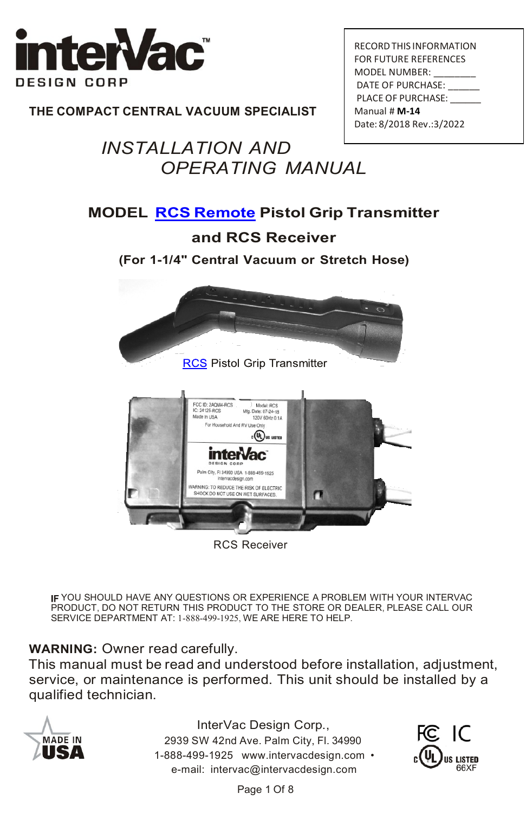

**THE COMPACT CENTRAL VACUUM SPECIALIST**

# *INSTALLATION AND OPERATING MANUAL*

| RECORD THIS INFORMATION      |
|------------------------------|
| <b>FOR FUTURE REFERENCES</b> |
| MODEL NUMBER:                |
| DATE OF PURCHASE:            |
| PLACE OF PURCHASE:           |
| Manual # M-14                |
| Date: 8/2018 Rev.: 3/2022    |

#### **MODEL RCS [Remote](https://www.intervacdesign.com/Bags-Accessories/Remote-Control/OnOff-Remote-Control/) Pistol Grip Transmitter**

#### **and RCS Receiver**

**(For 1-1/4" Central Vacuum or Stretch Hose)**





RCS Receiver

IF YOU SHOULD HAVE ANY QUESTIONS OR EXPERIENCE A PROBLEM WITH YOUR INTERVAC PRODUCT, DO NOT RETURN THIS PRODUCT TO THE STORE OR DEALER, PLEASE CALL OUR SERVICE DEPARTMENT AT: 1-888-499-1925, WE ARE HERE TO HELP.

#### **WARNING:** Owner read carefully.

This manual must be read and understood before installation, adjustment, service, or maintenance is performed. This unit should be installed by a qualified technician.



InterVac Design Corp., 2939 SW 42nd Ave. Palm City, Fl. 34990 1-888-499-1925 [www.intervacdesign.com](http://www.intervacdesign.com/) • e-mail: [intervac@intervacdesign.com](mailto:intervac@intervacdesign.com)

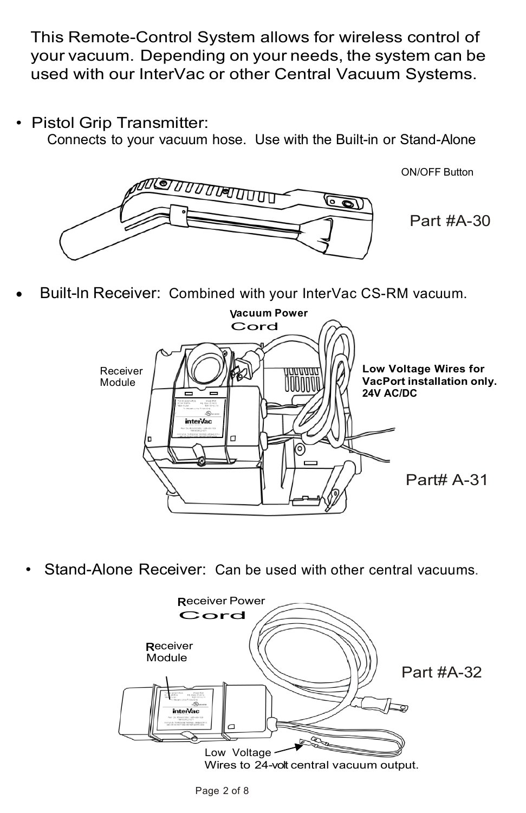This Remote-Control System allows for wireless control of your vacuum. Depending on your needs, the system can be used with our InterVac or other Central Vacuum Systems.

• Pistol Grip Transmitter:

Connects to your vacuum hose. Use with the Built-in or Stand-Alone



ON/OFF Button

Part #A-30

• Built-ln Receiver: Combined with your InterVac CS-RM vacuum.



• Stand-Alone Receiver: Can be used with other central vacuums.

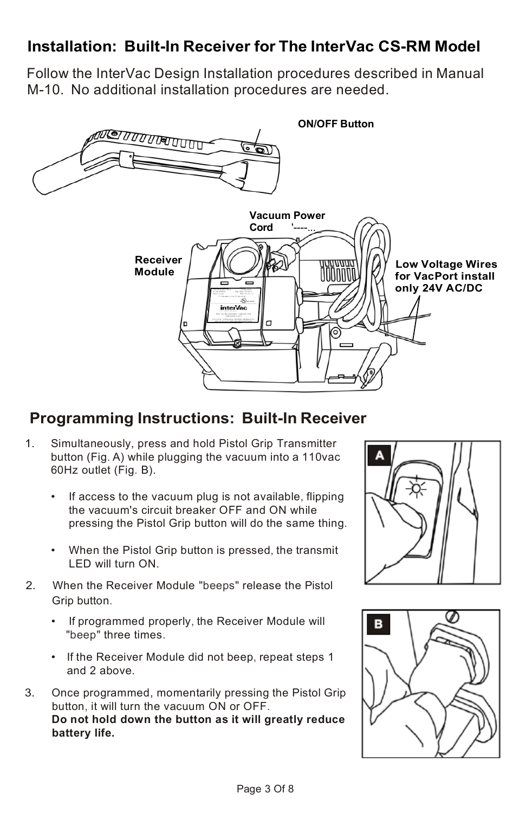## **Installation: Built-In Receiver for The InterVac CS-RM Model**

Follow the InterVac Design Installation procedures described in Manual M-10. No additional installation procedures are needed.



## **Programming Instructions: Built-In Receiver**

- 1. Simultaneously, press and hold Pistol Grip Transmitter button (Fig. A) while plugging the vacuum into a 110vac 60Hz outlet (Fig. B).
	- If access to the vacuum plug is not available, flipping the vacuum's circuit breaker OFF and ON while pressing the Pistol Grip button will do the same thing.
	- When the Pistol Grip button is pressed, the transmit LED will turn ON.
- 2. When the Receiver Module "beeps" release the Pistol Grip button.
	- If programmed properly, the Receiver Module will "beep" three times.
	- If the Receiver Module did not beep, repeat steps 1 and 2 above.
- 3. Once programmed, momentarily pressing the Pistol Grip button, it will turn the vacuum ON or OFF. **Do not hold down the button as it will greatly reduce battery life.**



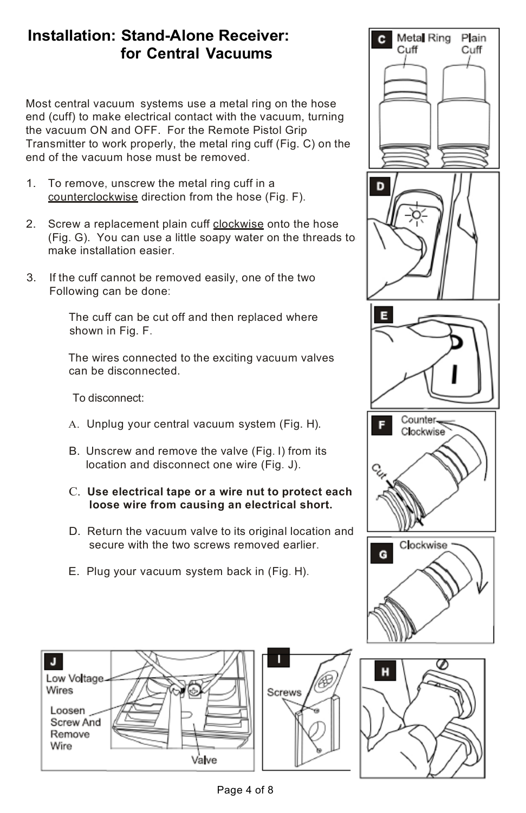### **Installation: Stand-Alone Receiver: for Central Vacuums**

Most central vacuum systems use a metal ring on the hose end (cuff) to make electrical contact with the vacuum, turning the vacuum ON and OFF. For the Remote Pistol Grip Transmitter to work properly, the metal ring cuff (Fig. C) on the end of the vacuum hose must be removed.

- 1. To remove, unscrew the metal ring cuff in a counterclockwise direction from the hose (Fig. F).
- 2. Screw a replacement plain cuff clockwise onto the hose (Fig. G). You can use a little soapy water on the threads to make installation easier.
- 3. If the cuff cannot be removed easily, one of the two Following can be done:

The cuff can be cut off and then replaced where shown in Fig. F.

The wires connected to the exciting vacuum valves can be disconnected.

To disconnect:

- A. Unplug your central vacuum system (Fig. H).
- B. Unscrew and remove the valve (Fig. I) from its location and disconnect one wire (Fig. J).
- C. **Use electrical tape or a wire nut to protect each loose wire from causing an electrical short.**
- D. Return the vacuum valve to its original location and secure with the two screws removed earlier.
- E. Plug your vacuum system back in (Fig. H).





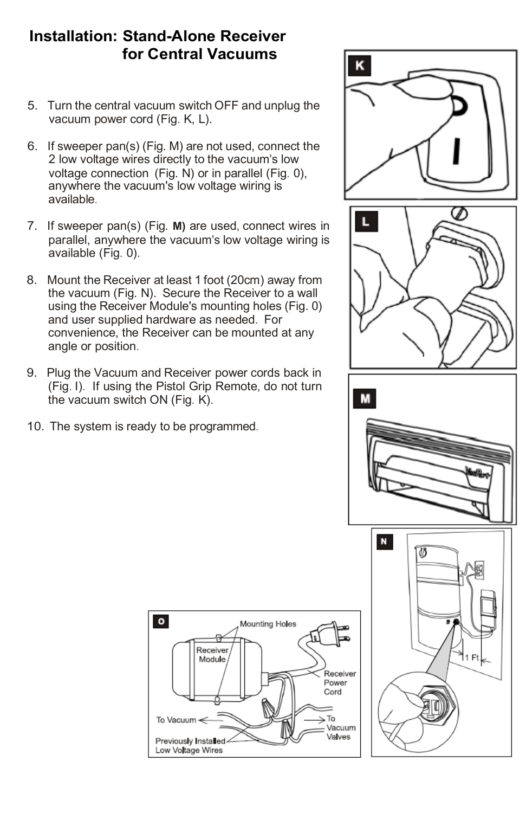### **Installation: Stand-Alone Receiver for Central Vacuums**

- 5. Turn the central vacuum switch OFF and unplug the vacuum power cord (Fig. K, L).
- 6. If sweeper pan(s) (Fig. M) are not used, connect the 2 low voltage wires directly to the vacuum's low voltage connection (Fig. N) or in parallel (Fig. 0), anywhere the vacuum's low voltage wiring is **L** available.
- 7. If sweeper pan(s) (Fig. **M)** are used, connect wires in parallel, anywhere the vacuum's low voltage wiring is available (Fig. 0).
- 8. Mount the Receiver at least 1 foot (20cm) away from the vacuum (Fig. N). Secure the Receiver to a wall using the Receiver Module's mounting holes (Fig. 0) and user supplied hardware as needed. For convenience, the Receiver can be mounted at any angle or position.
- 9. Plug the Vacuum and Receiver power cords back in (Fig. I). If using the Pistol Grip Remote, do not turn the vacuum switch ON (Fig. K).
- 10. The system is ready to be programmed.









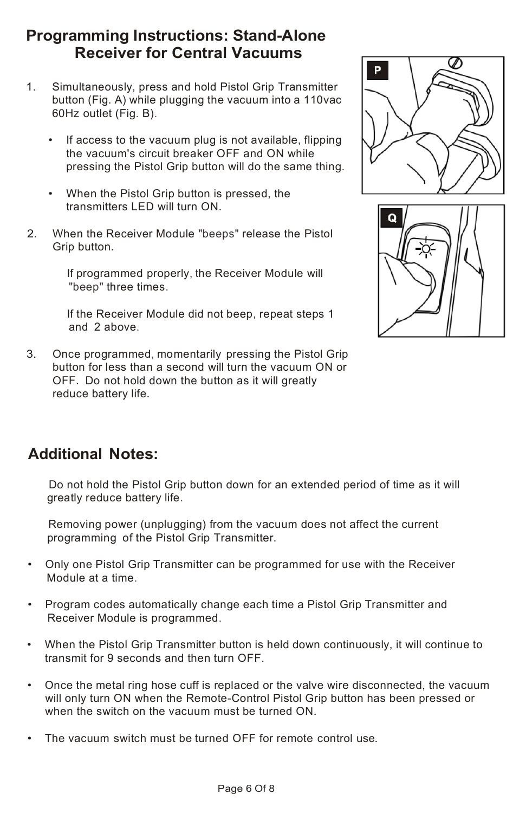### **Programming Instructions: Stand-Alone Receiver for Central Vacuums**

- 1. Simultaneously, press and hold Pistol Grip Transmitter button (Fig. A) while plugging the vacuum into a 110vac 60Hz outlet (Fig. B).
	- If access to the vacuum plug is not available, flipping the vacuum's circuit breaker OFF and ON while pressing the Pistol Grip button will do the same thing.
	- When the Pistol Grip button is pressed, the transmitters LED will turn ON.
- 2. When the Receiver Module "beeps" release the Pistol Grip button.

If programmed properly, the Receiver Module will "beep" three times.

If the Receiver Module did not beep, repeat steps 1 and 2 above.

3. Once programmed, momentarily pressing the Pistol Grip button for less than a second will turn the vacuum ON or OFF. Do not hold down the button as it will greatly reduce battery life.





## **Additional Notes:**

Do not hold the Pistol Grip button down for an extended period of time as it will greatly reduce battery life.

Removing power (unplugging) from the vacuum does not affect the current programming of the Pistol Grip Transmitter.

- Only one Pistol Grip Transmitter can be programmed for use with the Receiver Module at a time.
- Program codes automatically change each time a Pistol Grip Transmitter and Receiver Module is programmed.
- When the Pistol Grip Transmitter button is held down continuously, it will continue to transmit for 9 seconds and then turn OFF.
- Once the metal ring hose cuff is replaced or the valve wire disconnected, the vacuum will only turn ON when the Remote-Control Pistol Grip button has been pressed or when the switch on the vacuum must be turned ON.
- The vacuum switch must be turned OFF for remote control use.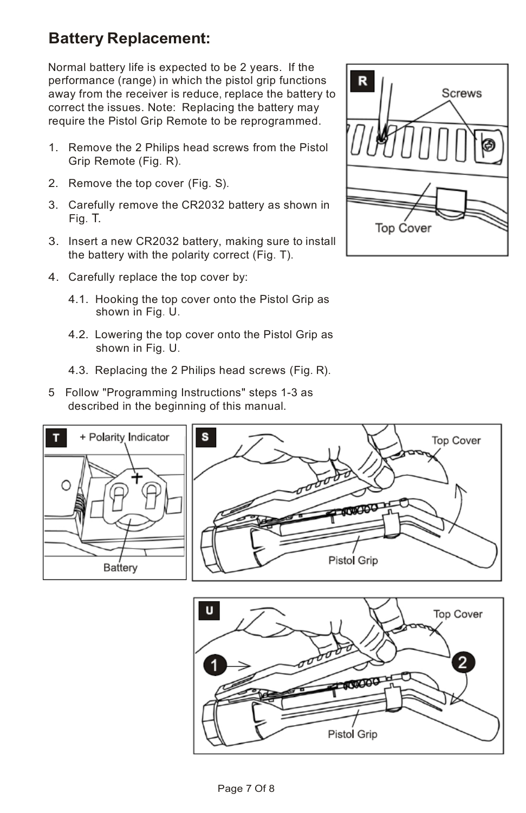## **Battery Replacement:**

Normal battery life is expected to be 2 years. If the performance (range) in which the pistol grip functions away from the receiver is reduce, replace the battery to correct the issues. Note: Replacing the battery may require the Pistol Grip Remote to be reprogrammed.

- 1. Remove the 2 Philips head screws from the Pistol Grip Remote (Fig. R).
- 2. Remove the top cover (Fig. S).
- 3. Carefully remove the CR2032 battery as shown in Fig. T.
- 3. Insert a new CR2032 battery, making sure to install the battery with the polarity correct (Fig. T).
- 4. Carefully replace the top cover by:
	- 4.1. Hooking the top cover onto the Pistol Grip as shown in Fig. U.
	- 4.2. Lowering the top cover onto the Pistol Grip as shown in Fig. U.
	- 4.3. Replacing the 2 Philips head screws (Fig. R).
- 5 Follow "Programming Instructions" steps 1-3 as described in the beginning of this manual.